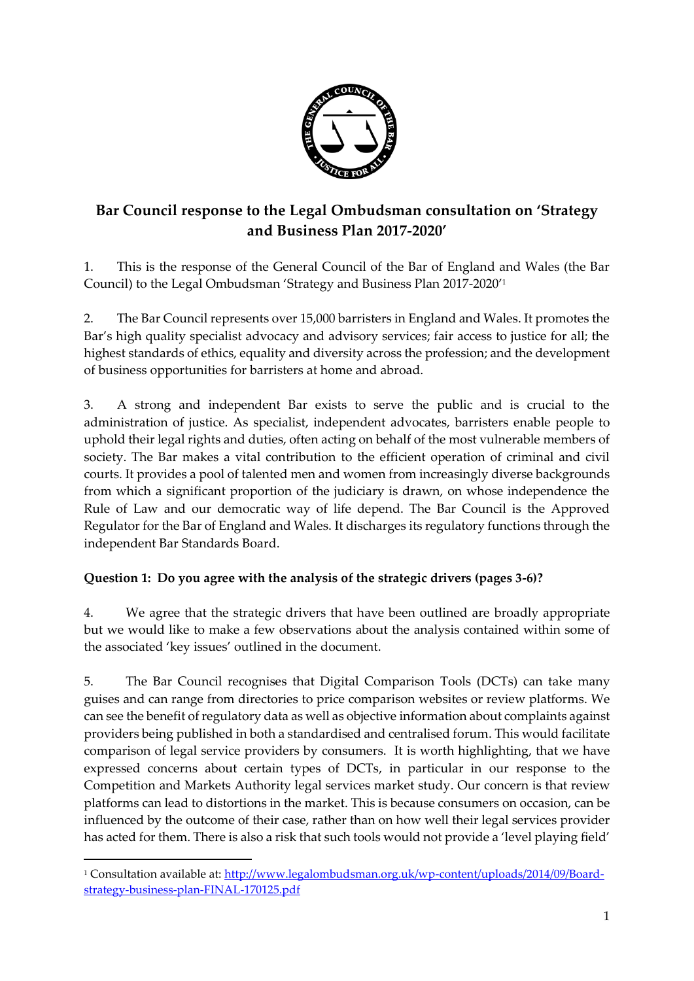

## **Bar Council response to the Legal Ombudsman consultation on 'Strategy and Business Plan 2017-2020'**

1. This is the response of the General Council of the Bar of England and Wales (the Bar Council) to the Legal Ombudsman 'Strategy and Business Plan 2017-2020'<sup>1</sup>

2. The Bar Council represents over 15,000 barristers in England and Wales. It promotes the Bar's high quality specialist advocacy and advisory services; fair access to justice for all; the highest standards of ethics, equality and diversity across the profession; and the development of business opportunities for barristers at home and abroad.

3. A strong and independent Bar exists to serve the public and is crucial to the administration of justice. As specialist, independent advocates, barristers enable people to uphold their legal rights and duties, often acting on behalf of the most vulnerable members of society. The Bar makes a vital contribution to the efficient operation of criminal and civil courts. It provides a pool of talented men and women from increasingly diverse backgrounds from which a significant proportion of the judiciary is drawn, on whose independence the Rule of Law and our democratic way of life depend. The Bar Council is the Approved Regulator for the Bar of England and Wales. It discharges its regulatory functions through the independent Bar Standards Board.

## **Question 1: Do you agree with the analysis of the strategic drivers (pages 3-6)?**

4. We agree that the strategic drivers that have been outlined are broadly appropriate but we would like to make a few observations about the analysis contained within some of the associated 'key issues' outlined in the document.

5. The Bar Council recognises that Digital Comparison Tools (DCTs) can take many guises and can range from directories to price comparison websites or review platforms. We can see the benefit of regulatory data as well as objective information about complaints against providers being published in both a standardised and centralised forum. This would facilitate comparison of legal service providers by consumers. It is worth highlighting, that we have expressed concerns about certain types of DCTs, in particular in our response to the Competition and Markets Authority legal services market study. Our concern is that review platforms can lead to distortions in the market. This is because consumers on occasion, can be influenced by the outcome of their case, rather than on how well their legal services provider has acted for them. There is also a risk that such tools would not provide a 'level playing field'

1

<sup>1</sup> Consultation available at[: http://www.legalombudsman.org.uk/wp-content/uploads/2014/09/Board](http://www.legalombudsman.org.uk/wp-content/uploads/2014/09/Board-strategy-business-plan-FINAL-170125.pdf)[strategy-business-plan-FINAL-170125.pdf](http://www.legalombudsman.org.uk/wp-content/uploads/2014/09/Board-strategy-business-plan-FINAL-170125.pdf)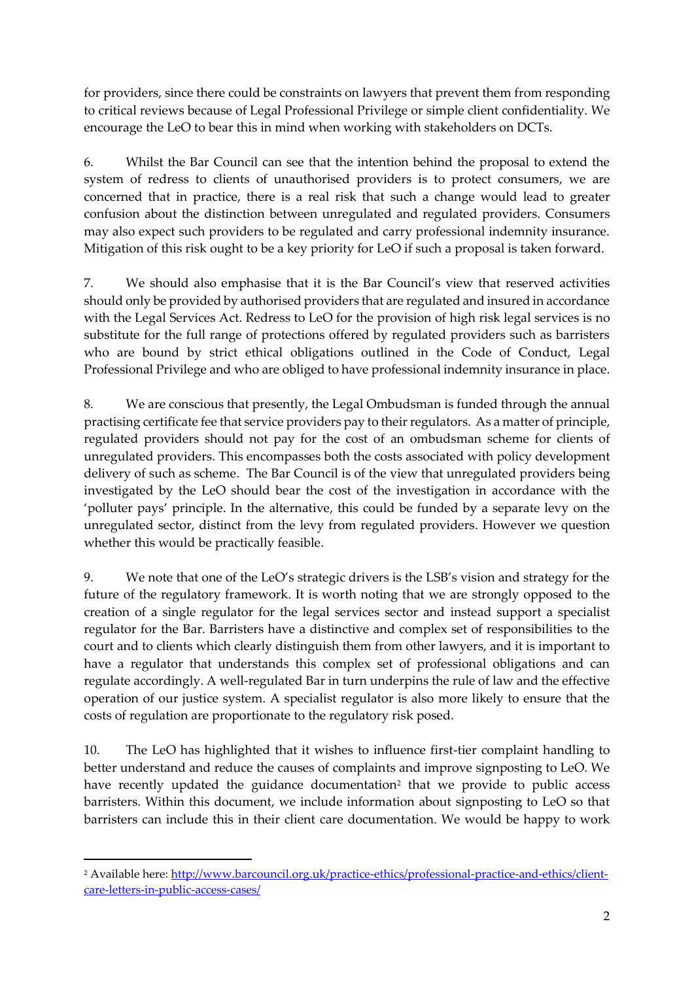for providers, since there could be constraints on lawyers that prevent them from responding to critical reviews because of Legal Professional Privilege or simple client confidentiality. We encourage the LeO to bear this in mind when working with stakeholders on DCTs.

6. Whilst the Bar Council can see that the intention behind the proposal to extend the system of redress to clients of unauthorised providers is to protect consumers, we are concerned that in practice, there is a real risk that such a change would lead to greater confusion about the distinction between unregulated and regulated providers. Consumers may also expect such providers to be regulated and carry professional indemnity insurance. Mitigation of this risk ought to be a key priority for LeO if such a proposal is taken forward.

7. We should also emphasise that it is the Bar Council's view that reserved activities should only be provided by authorised providers that are regulated and insured in accordance with the Legal Services Act. Redress to LeO for the provision of high risk legal services is no substitute for the full range of protections offered by regulated providers such as barristers who are bound by strict ethical obligations outlined in the Code of Conduct, Legal Professional Privilege and who are obliged to have professional indemnity insurance in place.

8. We are conscious that presently, the Legal Ombudsman is funded through the annual practising certificate fee that service providers pay to their regulators. As a matter of principle, regulated providers should not pay for the cost of an ombudsman scheme for clients of unregulated providers. This encompasses both the costs associated with policy development delivery of such as scheme. The Bar Council is of the view that unregulated providers being investigated by the LeO should bear the cost of the investigation in accordance with the 'polluter pays' principle. In the alternative, this could be funded by a separate levy on the unregulated sector, distinct from the levy from regulated providers. However we question whether this would be practically feasible.

9. We note that one of the LeO's strategic drivers is the LSB's vision and strategy for the future of the regulatory framework. It is worth noting that we are strongly opposed to the creation of a single regulator for the legal services sector and instead support a specialist regulator for the Bar. Barristers have a distinctive and complex set of responsibilities to the court and to clients which clearly distinguish them from other lawyers, and it is important to have a regulator that understands this complex set of professional obligations and can regulate accordingly. A well-regulated Bar in turn underpins the rule of law and the effective operation of our justice system. A specialist regulator is also more likely to ensure that the costs of regulation are proportionate to the regulatory risk posed.

10. The LeO has highlighted that it wishes to influence first-tier complaint handling to better understand and reduce the causes of complaints and improve signposting to LeO. We have recently updated the guidance documentation<sup>2</sup> that we provide to public access barristers. Within this document, we include information about signposting to LeO so that barristers can include this in their client care documentation. We would be happy to work

1

<sup>2</sup> Available here: [http://www.barcouncil.org.uk/practice-ethics/professional-practice-and-ethics/client](http://www.barcouncil.org.uk/practice-ethics/professional-practice-and-ethics/client-care-letters-in-public-access-cases/)[care-letters-in-public-access-cases/](http://www.barcouncil.org.uk/practice-ethics/professional-practice-and-ethics/client-care-letters-in-public-access-cases/)